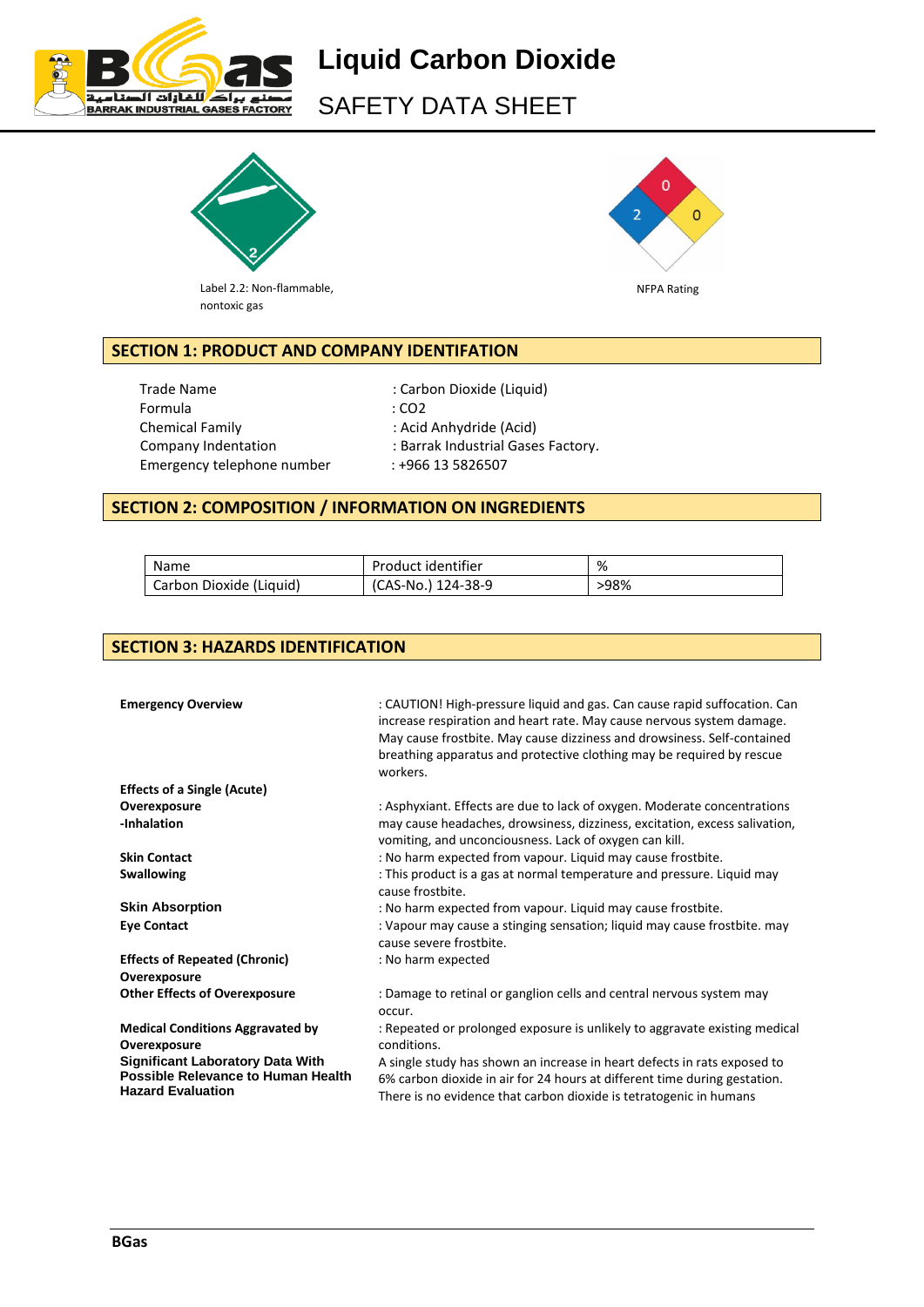

SAFETY DATA SHEET



Label 2.2: Non-flammable, nontoxic gas



# **SECTION 1: PRODUCT AND COMPANY IDENTIFATION**

Trade Name : Carbon Dioxide (Liquid) Formula : CO2 Chemical Family : Acid Anhydride (Acid) Emergency telephone number : +966 13 5826507

Company Indentation : Barrak Industrial Gases Factory.

## **SECTION 2: COMPOSITION / INFORMATION ON INGREDIENTS**

| Name                    | Product identifier | %    |
|-------------------------|--------------------|------|
| Carbon Dioxide (Liquid) | (CAS-No.) 124-38-9 | >98% |

# **SECTION 3: HAZARDS IDENTIFICATION**

| <b>Emergency Overview</b>                                                                                                                                            | : CAUTION! High-pressure liquid and gas. Can cause rapid suffocation. Can<br>increase respiration and heart rate. May cause nervous system damage.<br>May cause frostbite. May cause dizziness and drowsiness. Self-contained<br>breathing apparatus and protective clothing may be required by rescue<br>workers.       |
|----------------------------------------------------------------------------------------------------------------------------------------------------------------------|--------------------------------------------------------------------------------------------------------------------------------------------------------------------------------------------------------------------------------------------------------------------------------------------------------------------------|
| <b>Effects of a Single (Acute)</b>                                                                                                                                   |                                                                                                                                                                                                                                                                                                                          |
| Overexposure                                                                                                                                                         | : Asphyxiant. Effects are due to lack of oxygen. Moderate concentrations                                                                                                                                                                                                                                                 |
| -Inhalation                                                                                                                                                          | may cause headaches, drowsiness, dizziness, excitation, excess salivation,<br>vomiting, and unconciousness. Lack of oxygen can kill.                                                                                                                                                                                     |
| <b>Skin Contact</b>                                                                                                                                                  | : No harm expected from vapour. Liquid may cause frostbite.                                                                                                                                                                                                                                                              |
| <b>Swallowing</b>                                                                                                                                                    | : This product is a gas at normal temperature and pressure. Liquid may<br>cause frostbite.                                                                                                                                                                                                                               |
| <b>Skin Absorption</b>                                                                                                                                               | : No harm expected from vapour. Liquid may cause frostbite.                                                                                                                                                                                                                                                              |
| <b>Eye Contact</b>                                                                                                                                                   | : Vapour may cause a stinging sensation; liquid may cause frostbite. may<br>cause severe frostbite.                                                                                                                                                                                                                      |
| <b>Effects of Repeated (Chronic)</b><br>Overexposure                                                                                                                 | : No harm expected                                                                                                                                                                                                                                                                                                       |
| <b>Other Effects of Overexposure</b>                                                                                                                                 | : Damage to retinal or ganglion cells and central nervous system may<br>occur.                                                                                                                                                                                                                                           |
| <b>Medical Conditions Aggravated by</b><br>Overexposure<br><b>Significant Laboratory Data With</b><br>Possible Relevance to Human Health<br><b>Hazard Evaluation</b> | : Repeated or prolonged exposure is unlikely to aggravate existing medical<br>conditions.<br>A single study has shown an increase in heart defects in rats exposed to<br>6% carbon dioxide in air for 24 hours at different time during gestation.<br>There is no evidence that carbon dioxide is tetratogenic in humans |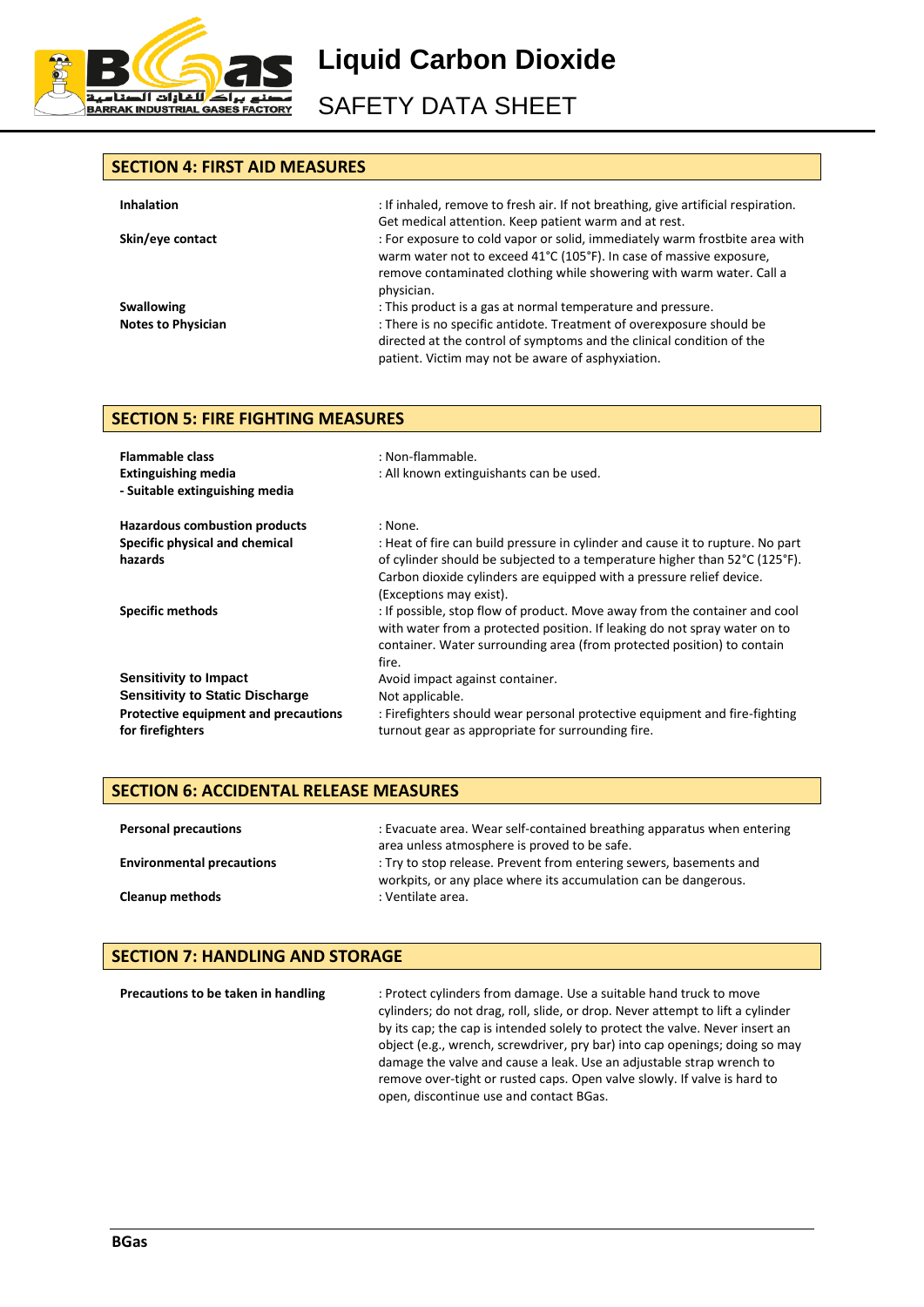

SAFETY DATA SHEET

#### **SECTION 4: FIRST AID MEASURES**

| <b>Inhalation</b>         | : If inhaled, remove to fresh air. If not breathing, give artificial respiration.<br>Get medical attention. Keep patient warm and at rest.                                                                                               |
|---------------------------|------------------------------------------------------------------------------------------------------------------------------------------------------------------------------------------------------------------------------------------|
| Skin/eye contact          | : For exposure to cold vapor or solid, immediately warm frostbite area with<br>warm water not to exceed 41°C (105°F). In case of massive exposure,<br>remove contaminated clothing while showering with warm water. Call a<br>physician. |
| <b>Swallowing</b>         | : This product is a gas at normal temperature and pressure.                                                                                                                                                                              |
| <b>Notes to Physician</b> | : There is no specific antidote. Treatment of overexposure should be<br>directed at the control of symptoms and the clinical condition of the<br>patient. Victim may not be aware of asphyxiation.                                       |

#### **SECTION 5: FIRE FIGHTING MEASURES**

| <b>Flammable class</b><br><b>Extinguishing media</b><br>- Suitable extinguishing media | : Non-flammable.<br>: All known extinguishants can be used.                                                                                                                                                                                                                         |
|----------------------------------------------------------------------------------------|-------------------------------------------------------------------------------------------------------------------------------------------------------------------------------------------------------------------------------------------------------------------------------------|
| <b>Hazardous combustion products</b>                                                   | : None.                                                                                                                                                                                                                                                                             |
| Specific physical and chemical<br>hazards                                              | : Heat of fire can build pressure in cylinder and cause it to rupture. No part<br>of cylinder should be subjected to a temperature higher than $52^{\circ}C$ (125 $^{\circ}F$ ).<br>Carbon dioxide cylinders are equipped with a pressure relief device.<br>(Exceptions may exist). |
| <b>Specific methods</b>                                                                | : If possible, stop flow of product. Move away from the container and cool<br>with water from a protected position. If leaking do not spray water on to<br>container. Water surrounding area (from protected position) to contain<br>fire.                                          |
| <b>Sensitivity to Impact</b>                                                           | Avoid impact against container.                                                                                                                                                                                                                                                     |
| <b>Sensitivity to Static Discharge</b>                                                 | Not applicable.                                                                                                                                                                                                                                                                     |
| Protective equipment and precautions<br>for firefighters                               | : Firefighters should wear personal protective equipment and fire-fighting<br>turnout gear as appropriate for surrounding fire.                                                                                                                                                     |

#### **SECTION 6: ACCIDENTAL RELEASE MEASURES**

| <b>Personal precautions</b>      | : Evacuate area. Wear self-contained breathing apparatus when entering<br>area unless atmosphere is proved to be safe.                |
|----------------------------------|---------------------------------------------------------------------------------------------------------------------------------------|
| <b>Environmental precautions</b> | : Try to stop release. Prevent from entering sewers, basements and<br>workpits, or any place where its accumulation can be dangerous. |
| <b>Cleanup methods</b>           | : Ventilate area.                                                                                                                     |

### **SECTION 7: HANDLING AND STORAGE**

**Precautions to be taken in handling** : Protect cylinders from damage. Use a suitable hand truck to move cylinders; do not drag, roll, slide, or drop. Never attempt to lift a cylinder by its cap; the cap is intended solely to protect the valve. Never insert an object (e.g., wrench, screwdriver, pry bar) into cap openings; doing so may damage the valve and cause a leak. Use an adjustable strap wrench to remove over-tight or rusted caps. Open valve slowly. If valve is hard to open, discontinue use and contact BGas.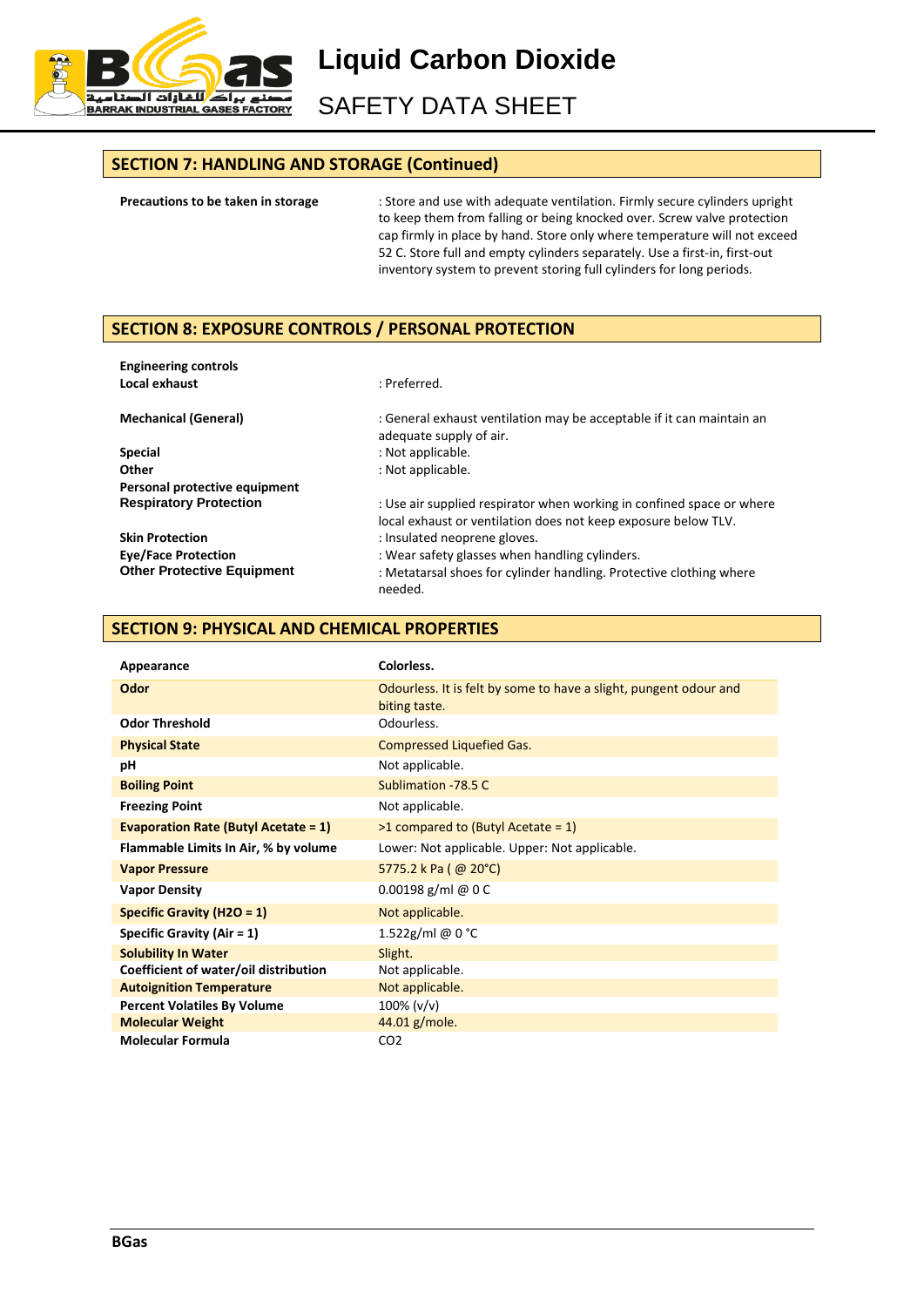

SAFETY DATA SHEET

#### **SECTION 7: HANDLING AND STORAGE (Continued)**

**Precautions to be taken in storage** : Store and use with adequate ventilation. Firmly secure cylinders upright to keep them from falling or being knocked over. Screw valve protection cap firmly in place by hand. Store only where temperature will not exceed 52 C. Store full and empty cylinders separately. Use a first-in, first-out inventory system to prevent storing full cylinders for long periods.

## **SECTION 8: EXPOSURE CONTROLS / PERSONAL PROTECTION**

| <b>Engineering controls</b>       |                                                                                                                                         |
|-----------------------------------|-----------------------------------------------------------------------------------------------------------------------------------------|
| Local exhaust                     | : Preferred.                                                                                                                            |
| <b>Mechanical (General)</b>       | : General exhaust ventilation may be acceptable if it can maintain an<br>adequate supply of air.                                        |
| <b>Special</b>                    | : Not applicable.                                                                                                                       |
| Other                             | : Not applicable.                                                                                                                       |
| Personal protective equipment     |                                                                                                                                         |
| <b>Respiratory Protection</b>     | : Use air supplied respirator when working in confined space or where<br>local exhaust or ventilation does not keep exposure below TLV. |
| <b>Skin Protection</b>            | : Insulated neoprene gloves.                                                                                                            |
| <b>Eye/Face Protection</b>        | : Wear safety glasses when handling cylinders.                                                                                          |
| <b>Other Protective Equipment</b> | : Metatarsal shoes for cylinder handling. Protective clothing where<br>needed.                                                          |

#### **SECTION 9: PHYSICAL AND CHEMICAL PROPERTIES**

| Appearance                                  | Colorless.                                                                         |
|---------------------------------------------|------------------------------------------------------------------------------------|
| <b>Odor</b>                                 | Odourless. It is felt by some to have a slight, pungent odour and<br>biting taste. |
| <b>Odor Threshold</b>                       | Odourless.                                                                         |
| <b>Physical State</b>                       | <b>Compressed Liquefied Gas.</b>                                                   |
| рH                                          | Not applicable.                                                                    |
| <b>Boiling Point</b>                        | Sublimation - 78.5 C                                                               |
| <b>Freezing Point</b>                       | Not applicable.                                                                    |
| <b>Evaporation Rate (Butyl Acetate = 1)</b> | $>1$ compared to (Butyl Acetate = 1)                                               |
| Flammable Limits In Air, % by volume        | Lower: Not applicable. Upper: Not applicable.                                      |
| <b>Vapor Pressure</b>                       | 5775.2 k Pa ( $@$ 20°C)                                                            |
| <b>Vapor Density</b>                        | 0.00198 g/ml @ $0C$                                                                |
| Specific Gravity (H2O = $1$ )               | Not applicable.                                                                    |
| Specific Gravity (Air $= 1$ )               | 1.522g/ml @ 0 °C                                                                   |
| <b>Solubility In Water</b>                  | Slight.                                                                            |
| Coefficient of water/oil distribution       | Not applicable.                                                                    |
| <b>Autoignition Temperature</b>             | Not applicable.                                                                    |
| <b>Percent Volatiles By Volume</b>          | $100\%$ (v/v)                                                                      |
| <b>Molecular Weight</b>                     | 44.01 g/mole.                                                                      |
| <b>Molecular Formula</b>                    | CO <sub>2</sub>                                                                    |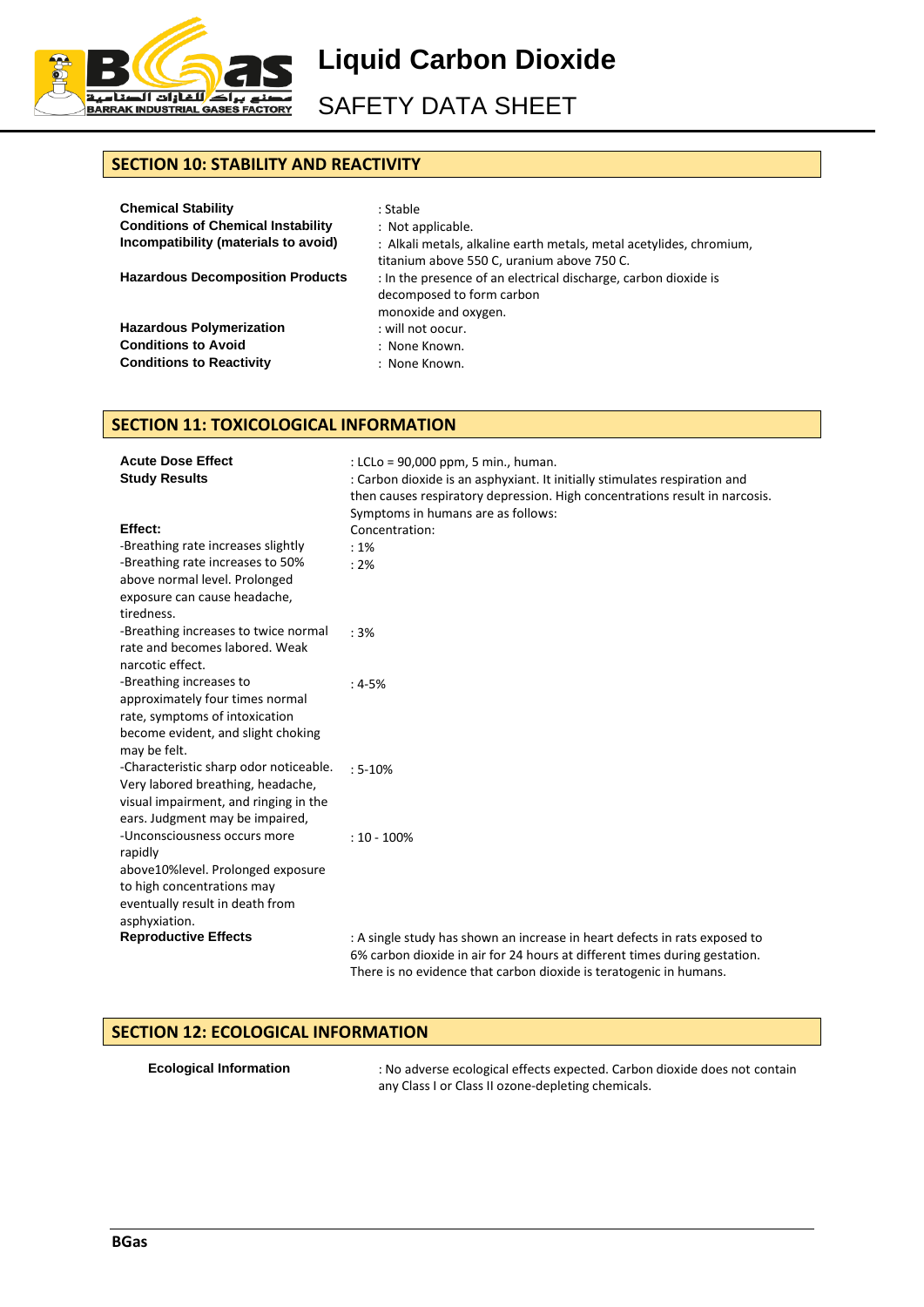

SAFETY DATA SHEET

# **SECTION 10: STABILITY AND REACTIVITY**

| <b>Chemical Stability</b><br><b>Conditions of Chemical Instability</b><br>Incompatibility (materials to avoid) | : Stable<br>: Not applicable.<br>: Alkali metals, alkaline earth metals, metal acetylides, chromium,                 |
|----------------------------------------------------------------------------------------------------------------|----------------------------------------------------------------------------------------------------------------------|
|                                                                                                                | titanium above 550 C, uranium above 750 C.                                                                           |
| <b>Hazardous Decomposition Products</b>                                                                        | : In the presence of an electrical discharge, carbon dioxide is<br>decomposed to form carbon<br>monoxide and oxygen. |
| <b>Hazardous Polymerization</b>                                                                                | : will not oocur.                                                                                                    |
| <b>Conditions to Avoid</b>                                                                                     | : None Known.                                                                                                        |
| <b>Conditions to Reactivity</b>                                                                                | : None Known.                                                                                                        |

#### **SECTION 11: TOXICOLOGICAL INFORMATION**

| <b>Acute Dose Effect</b>               | : LCLo = 90,000 ppm, 5 min., human.                                                                                                              |
|----------------------------------------|--------------------------------------------------------------------------------------------------------------------------------------------------|
| <b>Study Results</b>                   | : Carbon dioxide is an asphyxiant. It initially stimulates respiration and                                                                       |
|                                        | then causes respiratory depression. High concentrations result in narcosis.                                                                      |
|                                        | Symptoms in humans are as follows:                                                                                                               |
| Effect:                                | Concentration:                                                                                                                                   |
| -Breathing rate increases slightly     | :1%                                                                                                                                              |
| -Breathing rate increases to 50%       | : 2%                                                                                                                                             |
| above normal level. Prolonged          |                                                                                                                                                  |
| exposure can cause headache,           |                                                                                                                                                  |
| tiredness.                             |                                                                                                                                                  |
| -Breathing increases to twice normal   | :3%                                                                                                                                              |
| rate and becomes labored. Weak         |                                                                                                                                                  |
| narcotic effect.                       |                                                                                                                                                  |
| -Breathing increases to                | $:4-5%$                                                                                                                                          |
| approximately four times normal        |                                                                                                                                                  |
| rate, symptoms of intoxication         |                                                                                                                                                  |
| become evident, and slight choking     |                                                                                                                                                  |
| may be felt.                           |                                                                                                                                                  |
| -Characteristic sharp odor noticeable. | $: 5 - 10%$                                                                                                                                      |
| Very labored breathing, headache,      |                                                                                                                                                  |
| visual impairment, and ringing in the  |                                                                                                                                                  |
| ears. Judgment may be impaired,        |                                                                                                                                                  |
| -Unconsciousness occurs more           | $: 10 - 100\%$                                                                                                                                   |
| rapidly                                |                                                                                                                                                  |
| above10%level. Prolonged exposure      |                                                                                                                                                  |
| to high concentrations may             |                                                                                                                                                  |
| eventually result in death from        |                                                                                                                                                  |
| asphyxiation.                          |                                                                                                                                                  |
| <b>Reproductive Effects</b>            | : A single study has shown an increase in heart defects in rats exposed to                                                                       |
|                                        | 6% carbon dioxide in air for 24 hours at different times during gestation.<br>There is no evidence that carbon dioxide is teratogenic in humans. |
|                                        |                                                                                                                                                  |

#### **SECTION 12: ECOLOGICAL INFORMATION**

| <b>Ecological Information</b> |  |
|-------------------------------|--|
|                               |  |

**Example 12** Exological effects expected. Carbon dioxide does not contain any Class I or Class II ozone-depleting chemicals.